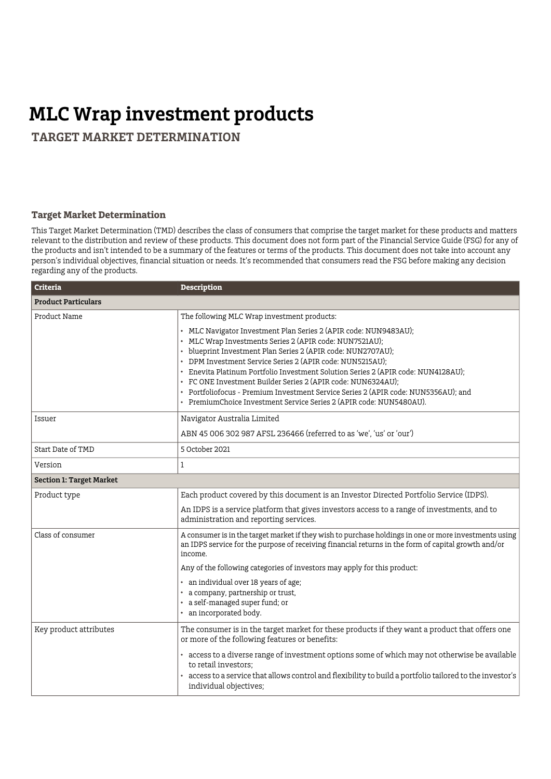## **MLC Wrap investment products**

 **TARGET MARKET DETERMINATION**

## **Target Market Determination**

This Target Market Determination (TMD) describes the class of consumers that comprise the target market for these products and matters relevant to the distribution and review of these products. This document does not form part of the Financial Service Guide (FSG) for any of the products and isn't intended to be a summary of the features or terms of the products. This document does not take into account any person's individual objectives, financial situation or needs. It's recommended that consumers read the FSG before making any decision regarding any of the products.

| <b>Criteria</b>                 | <b>Description</b>                                                                                                                                                                                                                                                                                                                                                                                                                                                                                                                                                         |  |  |
|---------------------------------|----------------------------------------------------------------------------------------------------------------------------------------------------------------------------------------------------------------------------------------------------------------------------------------------------------------------------------------------------------------------------------------------------------------------------------------------------------------------------------------------------------------------------------------------------------------------------|--|--|
| <b>Product Particulars</b>      |                                                                                                                                                                                                                                                                                                                                                                                                                                                                                                                                                                            |  |  |
| Product Name                    | The following MLC Wrap investment products:                                                                                                                                                                                                                                                                                                                                                                                                                                                                                                                                |  |  |
|                                 | • MLC Navigator Investment Plan Series 2 (APIR code: NUN9483AU);<br>• MLC Wrap Investments Series 2 (APIR code: NUN7521AU);<br>• blueprint Investment Plan Series 2 (APIR code: NUN2707AU);<br>• DPM Investment Service Series 2 (APIR code: NUN5215AU);<br>* Enevita Platinum Portfolio Investment Solution Series 2 (APIR code: NUN4128AU);<br>• FC ONE Investment Builder Series 2 (APIR code: NUN6324AU);<br>• Portfoliofocus - Premium Investment Service Series 2 (APIR code: NUN5356AU); and<br>• PremiumChoice Investment Service Series 2 (APIR code: NUN5480AU). |  |  |
| Issuer                          | Navigator Australia Limited                                                                                                                                                                                                                                                                                                                                                                                                                                                                                                                                                |  |  |
|                                 | ABN 45 006 302 987 AFSL 236466 (referred to as 'we', 'us' or 'our')                                                                                                                                                                                                                                                                                                                                                                                                                                                                                                        |  |  |
| Start Date of TMD               | 5 October 2021                                                                                                                                                                                                                                                                                                                                                                                                                                                                                                                                                             |  |  |
| Version                         | 1                                                                                                                                                                                                                                                                                                                                                                                                                                                                                                                                                                          |  |  |
| <b>Section 1: Target Market</b> |                                                                                                                                                                                                                                                                                                                                                                                                                                                                                                                                                                            |  |  |
| Product type                    | Each product covered by this document is an Investor Directed Portfolio Service (IDPS).                                                                                                                                                                                                                                                                                                                                                                                                                                                                                    |  |  |
|                                 | An IDPS is a service platform that gives investors access to a range of investments, and to<br>administration and reporting services.                                                                                                                                                                                                                                                                                                                                                                                                                                      |  |  |
| Class of consumer               | A consumer is in the target market if they wish to purchase holdings in one or more investments using<br>an IDPS service for the purpose of receiving financial returns in the form of capital growth and/or<br>income.<br>Any of the following categories of investors may apply for this product:                                                                                                                                                                                                                                                                        |  |  |
|                                 |                                                                                                                                                                                                                                                                                                                                                                                                                                                                                                                                                                            |  |  |
|                                 | • an individual over 18 years of age;<br>• a company, partnership or trust,<br>• a self-managed super fund; or<br>an incorporated body.                                                                                                                                                                                                                                                                                                                                                                                                                                    |  |  |
| Key product attributes          | The consumer is in the target market for these products if they want a product that offers one<br>or more of the following features or benefits:                                                                                                                                                                                                                                                                                                                                                                                                                           |  |  |
|                                 | * access to a diverse range of investment options some of which may not otherwise be available<br>to retail investors:<br>access to a service that allows control and flexibility to build a portfolio tailored to the investor's<br>individual objectives;                                                                                                                                                                                                                                                                                                                |  |  |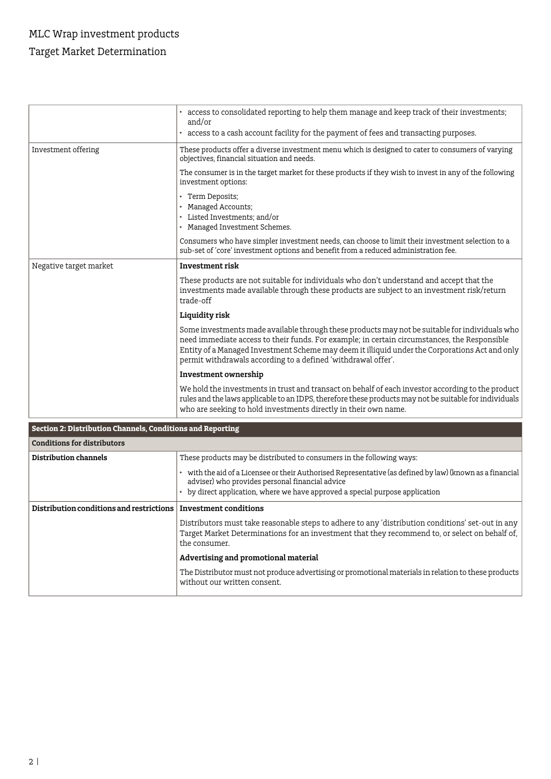## MLC Wrap investment products Target Market Determination

|                                                            | • access to consolidated reporting to help them manage and keep track of their investments;<br>and/or                                                                                                                                                                                                                                                             |
|------------------------------------------------------------|-------------------------------------------------------------------------------------------------------------------------------------------------------------------------------------------------------------------------------------------------------------------------------------------------------------------------------------------------------------------|
|                                                            | • access to a cash account facility for the payment of fees and transacting purposes.                                                                                                                                                                                                                                                                             |
| Investment offering                                        | These products offer a diverse investment menu which is designed to cater to consumers of varying<br>objectives, financial situation and needs.                                                                                                                                                                                                                   |
|                                                            | The consumer is in the target market for these products if they wish to invest in any of the following<br>investment options:                                                                                                                                                                                                                                     |
|                                                            | • Term Deposits;<br>• Managed Accounts:<br>• Listed Investments; and/or<br>• Managed Investment Schemes.                                                                                                                                                                                                                                                          |
|                                                            | Consumers who have simpler investment needs, can choose to limit their investment selection to a<br>sub-set of 'core' investment options and benefit from a reduced administration fee.                                                                                                                                                                           |
| Negative target market                                     | <b>Investment risk</b>                                                                                                                                                                                                                                                                                                                                            |
|                                                            | These products are not suitable for individuals who don't understand and accept that the<br>investments made available through these products are subject to an investment risk/return<br>trade-off                                                                                                                                                               |
|                                                            | Liquidity risk                                                                                                                                                                                                                                                                                                                                                    |
|                                                            | Some investments made available through these products may not be suitable for individuals who<br>need immediate access to their funds. For example; in certain circumstances, the Responsible<br>Entity of a Managed Investment Scheme may deem it illiquid under the Corporations Act and only<br>permit withdrawals according to a defined 'withdrawal offer'. |
|                                                            | Investment ownership                                                                                                                                                                                                                                                                                                                                              |
|                                                            | We hold the investments in trust and transact on behalf of each investor according to the product<br>rules and the laws applicable to an IDPS, therefore these products may not be suitable for individuals<br>who are seeking to hold investments directly in their own name.                                                                                    |
| Section 2: Distribution Channels, Conditions and Reporting |                                                                                                                                                                                                                                                                                                                                                                   |
| <b>Conditions for distributors</b>                         |                                                                                                                                                                                                                                                                                                                                                                   |

| <b>Conditions for distributors</b>       |                                                                                                                                                                                                                                             |  |  |
|------------------------------------------|---------------------------------------------------------------------------------------------------------------------------------------------------------------------------------------------------------------------------------------------|--|--|
| Distribution channels                    | These products may be distributed to consumers in the following ways:                                                                                                                                                                       |  |  |
|                                          | with the aid of a Licensee or their Authorised Representative (as defined by law) (known as a financial<br>adviser) who provides personal financial advice<br>• by direct application, where we have approved a special purpose application |  |  |
| Distribution conditions and restrictions | Investment conditions                                                                                                                                                                                                                       |  |  |
|                                          | Distributors must take reasonable steps to adhere to any 'distribution conditions' set-out in any<br>Target Market Determinations for an investment that they recommend to, or select on behalf of,<br>the consumer.                        |  |  |
|                                          | Advertising and promotional material                                                                                                                                                                                                        |  |  |
|                                          | The Distributor must not produce advertising or promotional materials in relation to these products<br>without our written consent.                                                                                                         |  |  |